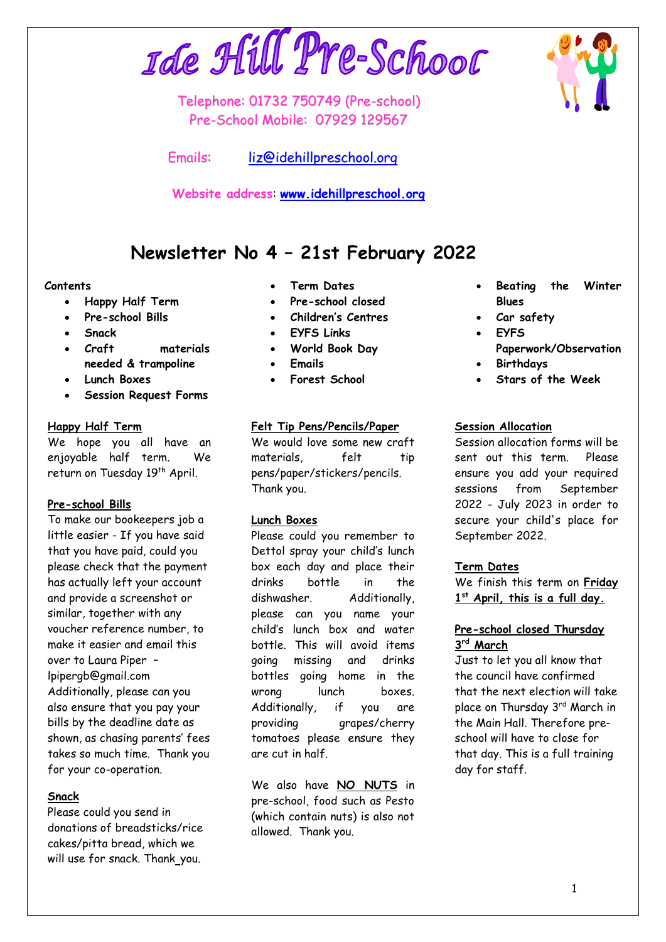# Ide Hill Pre-School

Telephone: 01732 750749 (Pre-school) Pre-School Mobile: 07929 129567

Emails: [liz@idehillpreschool.org](mailto:liz@idehillpreschool.org)

**Website address**: **[www.idehillpreschool.org](http://www.idehillpreschool.org/)**

# **Newsletter No 4 – 21st February 2022**

# **Contents**

- **Happy Half Term**
- **Pre-school Bills**
- **Snack**
- **Craft materials needed & trampoline**
- **Lunch Boxes**
- **Session Request Forms**

#### **Happy Half Term**

We hope you all have an enjoyable half term. We return on Tuesday 19<sup>th</sup> April.

# **Pre-school Bills**

To make our bookeepers job a little easier - If you have said that you have paid, could you please check that the payment has actually left your account and provide a screenshot or similar, together with any voucher reference number, to make it easier and email this over to Laura Piper – lpipergb@gmail.com Additionally, please can you also ensure that you pay your bills by the deadline date as shown, as chasing parents' fees takes so much time. Thank you for your co-operation.

#### **Snack**

Please could you send in donations of breadsticks/rice cakes/pitta bread, which we will use for snack. Thank\_you.

- **Term Dates**
- **Pre-school closed**
- **Children's Centres**
- **EYFS Links**
- **World Book Day**
- **Emails**
- **Forest School**

# **Felt Tip Pens/Pencils/Paper**

We would love some new craft materials, felt tip pens/paper/stickers/pencils. Thank you.

#### **Lunch Boxes**

Please could you remember to Dettol spray your child's lunch box each day and place their drinks bottle in the dishwasher. Additionally, please can you name your child's lunch box and water bottle. This will avoid items going missing and drinks bottles going home in the wrong lunch boxes. Additionally, if you are providing grapes/cherry tomatoes please ensure they are cut in half.

We also have **NO NUTS** in pre-school, food such as Pesto (which contain nuts) is also not allowed. Thank you.

- **Beating the Winter Blues**
- **Car safety**
- **EYFS**
	- **Paperwork/Observation**
- **Birthdays**
- **Stars of the Week**

# **Session Allocation**

Session allocation forms will be sent out this term. Please ensure you add your required sessions from September 2022 - July 2023 in order to secure your child's place for September 2022.

#### **Term Dates**

We finish this term on **Friday 1 st April, this is a full day.**

#### **Pre-school closed Thursday 3 rd March**

Just to let you all know that the council have confirmed that the next election will take place on Thursday 3rd March in the Main Hall. Therefore preschool will have to close for that day. This is a full training day for staff.

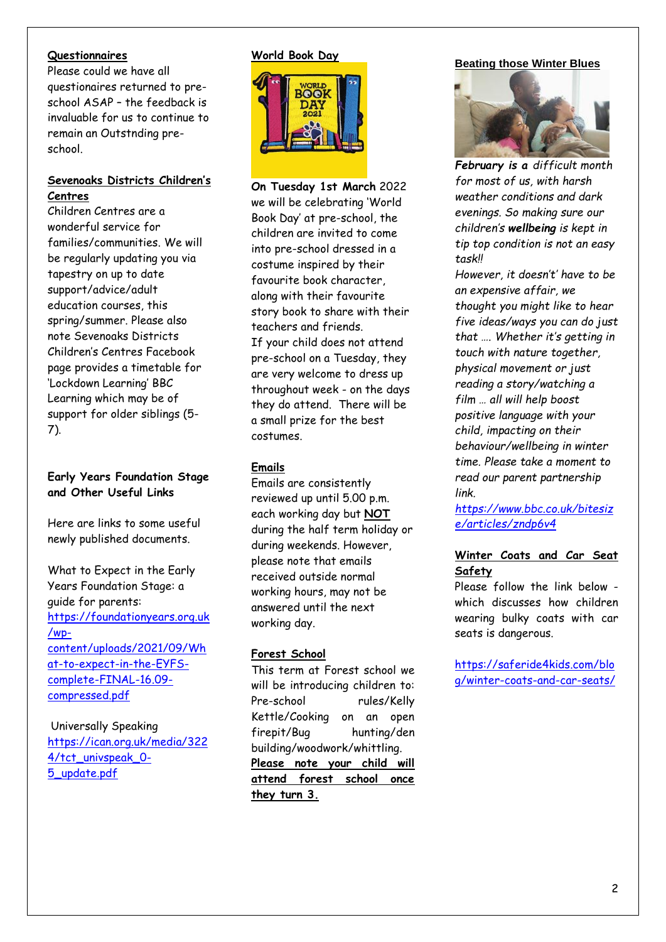#### **Questionnaires**

Please could we have all questionaires returned to preschool ASAP – the feedback is invaluable for us to continue to remain an Outstnding preschool.

# **Sevenoaks Districts Children's Centres**

Children Centres are a wonderful service for families/communities. We will be regularly updating you via tapestry on up to date support/advice/adult education courses, this spring/summer. Please also note Sevenoaks Districts Children's Centres Facebook page provides a timetable for 'Lockdown Learning' BBC Learning which may be of support for older siblings (5- 7).

# **Early Years Foundation Stage and Other Useful Links**

Here are links to some useful newly published documents.

What to Expect in the Early Years Foundation Stage: a guide for parents: [https://foundationyears.org.uk](https://foundationyears.org.uk/wp-content/uploads/2021/09/What-to-expect-in-the-EYFS-complete-FINAL-16.09-compressed.pdf) [/wp](https://foundationyears.org.uk/wp-content/uploads/2021/09/What-to-expect-in-the-EYFS-complete-FINAL-16.09-compressed.pdf)[content/uploads/2021/09/Wh](https://foundationyears.org.uk/wp-content/uploads/2021/09/What-to-expect-in-the-EYFS-complete-FINAL-16.09-compressed.pdf) [at-to-expect-in-the-EYFS](https://foundationyears.org.uk/wp-content/uploads/2021/09/What-to-expect-in-the-EYFS-complete-FINAL-16.09-compressed.pdf)[complete-FINAL-16.09](https://foundationyears.org.uk/wp-content/uploads/2021/09/What-to-expect-in-the-EYFS-complete-FINAL-16.09-compressed.pdf) [compressed.pdf](https://foundationyears.org.uk/wp-content/uploads/2021/09/What-to-expect-in-the-EYFS-complete-FINAL-16.09-compressed.pdf)

Universally Speaking [https://ican.org.uk/media/322](https://ican.org.uk/media/3224/tct_univspeak_0-5_update.pdf) [4/tct\\_univspeak\\_0-](https://ican.org.uk/media/3224/tct_univspeak_0-5_update.pdf) [5\\_update.pdf](https://ican.org.uk/media/3224/tct_univspeak_0-5_update.pdf)

# **World Book Day**



**On Tuesday 1st March** 2022 we will be celebrating 'World Book Day' at pre-school, the children are invited to come into pre-school dressed in a costume inspired by their favourite book character, along with their favourite story book to share with their teachers and friends. If your child does not attend pre-school on a Tuesday, they are very welcome to dress up throughout week - on the days they do attend. There will be a small prize for the best costumes.

# **Emails**

Emails are consistently reviewed up until 5.00 p.m. each working day but **NOT** during the half term holiday or during weekends. However, please note that emails received outside normal working hours, may not be answered until the next working day.

# **Forest School**

This term at Forest school we will be introducing children to: Pre-school rules/Kelly Kettle/Cooking on an open firepit/Bug hunting/den building/woodwork/whittling. **Please note your child will attend forest school once they turn 3.**

# **Beating those Winter Blues**



*February is a difficult month for most of us, with harsh weather conditions and dark evenings. So making sure our children's wellbeing is kept in tip top condition is not an easy task!!* 

*However, it doesn't' have to be an expensive affair, we thought you might like to hear five ideas/ways you can do just that …. Whether it's getting in touch with nature together, physical movement or just reading a story/watching a film … all will help boost positive language with your child, impacting on their behaviour/wellbeing in winter time. Please take a moment to read our parent partnership link.*

*[https://www.bbc.co.uk/bitesiz](https://www.bbc.co.uk/bitesize/articles/zndp6v4) [e/articles/zndp6v4](https://www.bbc.co.uk/bitesize/articles/zndp6v4)*

# **Winter Coats and Car Seat Safety**

Please follow the link below which discusses how children wearing bulky coats with car seats is dangerous.

[https://saferide4kids.com/blo](https://saferide4kids.com/blog/winter-coats-and-car-seats/) [g/winter-coats-and-car-seats/](https://saferide4kids.com/blog/winter-coats-and-car-seats/)